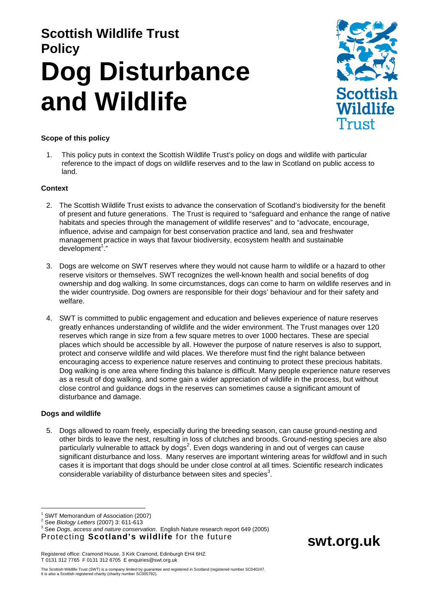# **Scottish Wildlife Trust Policy Dog Disturbance and Wildlife**



**swt.org.uk** 

# **Scope of this policy**

1. This policy puts in context the Scottish Wildlife Trust's policy on dogs and wildlife with particular reference to the impact of dogs on wildlife reserves and to the law in Scotland on public access to land.

## **Context**

- 2. The Scottish Wildlife Trust exists to advance the conservation of Scotland's biodiversity for the benefit of present and future generations. The Trust is required to "safeguard and enhance the range of native habitats and species through the management of wildlife reserves" and to "advocate, encourage, influence, advise and campaign for best conservation practice and land, sea and freshwater management practice in ways that favour biodiversity, ecosystem health and sustainable development<sup>1</sup>."
- 3. Dogs are welcome on SWT reserves where they would not cause harm to wildlife or a hazard to other reserve visitors or themselves. SWT recognizes the well-known health and social benefits of dog ownership and dog walking. In some circumstances, dogs can come to harm on wildlife reserves and in the wider countryside. Dog owners are responsible for their dogs' behaviour and for their safety and welfare.
- 4. SWT is committed to public engagement and education and believes experience of nature reserves greatly enhances understanding of wildlife and the wider environment. The Trust manages over 120 reserves which range in size from a few square metres to over 1000 hectares. These are special places which should be accessible by all. However the purpose of nature reserves is also to support, protect and conserve wildlife and wild places. We therefore must find the right balance between encouraging access to experience nature reserves and continuing to protect these precious habitats. Dog walking is one area where finding this balance is difficult. Many people experience nature reserves as a result of dog walking, and some gain a wider appreciation of wildlife in the process, but without close control and guidance dogs in the reserves can sometimes cause a significant amount of disturbance and damage.

## **Dogs and wildlife**

5. Dogs allowed to roam freely, especially during the breeding season, can cause ground-nesting and other birds to leave the nest, resulting in loss of clutches and broods. Ground-nesting species are also particularly vulnerable to attack by dogs<sup>2</sup>. Even dogs wandering in and out of verges can cause significant disturbance and loss. Many reserves are important wintering areas for wildfowl and in such cases it is important that dogs should be under close control at all times. Scientific research indicates considerable variability of disturbance between sites and species<sup>3</sup>.

Registered office: Cramond House, 3 Kirk Cramond, Edinburgh EH4 6HZ T 0131 312 7765 F 0131 312 8705 E enquiries@swt.org.uk

The Scottish Wildlife Trust (SWT) is a company limited by guarantee and registered in Scotland (registered number SC040247. It is also a Scottish registered charity (charity number SC005792).

 $\overline{a}$ 1 SWT Memorandum of Association (2007)

<sup>&</sup>lt;sup>2</sup> See *Biology Letters* (2007) 3: 611-613

Protecting **Scotland's wildlife** for the future <sup>3</sup> See Dogs, access and nature conservation. English Nature research report 649 (2005)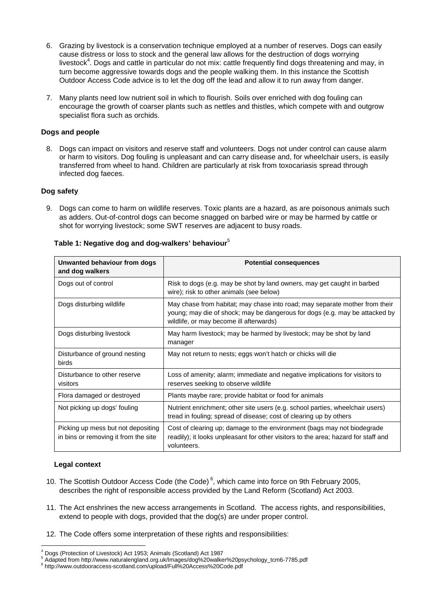- 6. Grazing by livestock is a conservation technique employed at a number of reserves. Dogs can easily cause distress or loss to stock and the general law allows for the destruction of dogs worrying livestock<sup>4</sup>. Dogs and cattle in particular do not mix: cattle frequently find dogs threatening and may, in turn become aggressive towards dogs and the people walking them. In this instance the Scottish Outdoor Access Code advice is to let the dog off the lead and allow it to run away from danger.
- 7. Many plants need low nutrient soil in which to flourish. Soils over enriched with dog fouling can encourage the growth of coarser plants such as nettles and thistles, which compete with and outgrow specialist flora such as orchids.

# **Dogs and people**

8. Dogs can impact on visitors and reserve staff and volunteers. Dogs not under control can cause alarm or harm to visitors. Dog fouling is unpleasant and can carry disease and, for wheelchair users, is easily transferred from wheel to hand. Children are particularly at risk from toxocariasis spread through infected dog faeces.

# **Dog safety**

9. Dogs can come to harm on wildlife reserves. Toxic plants are a hazard, as are poisonous animals such as adders. Out-of-control dogs can become snagged on barbed wire or may be harmed by cattle or shot for worrying livestock; some SWT reserves are adjacent to busy roads.

| Unwanted behaviour from dogs<br>and dog walkers                            | <b>Potential consequences</b>                                                                                                                                                                         |
|----------------------------------------------------------------------------|-------------------------------------------------------------------------------------------------------------------------------------------------------------------------------------------------------|
| Dogs out of control                                                        | Risk to dogs (e.g. may be shot by land owners, may get caught in barbed<br>wire); risk to other animals (see below)                                                                                   |
| Dogs disturbing wildlife                                                   | May chase from habitat; may chase into road; may separate mother from their<br>young; may die of shock; may be dangerous for dogs (e.g. may be attacked by<br>wildlife, or may become ill afterwards) |
| Dogs disturbing livestock                                                  | May harm livestock; may be harmed by livestock; may be shot by land<br>manager                                                                                                                        |
| Disturbance of ground nesting<br>birds                                     | May not return to nests; eggs won't hatch or chicks will die                                                                                                                                          |
| Disturbance to other reserve<br>visitors                                   | Loss of amenity; alarm; immediate and negative implications for visitors to<br>reserves seeking to observe wildlife                                                                                   |
| Flora damaged or destroyed                                                 | Plants maybe rare; provide habitat or food for animals                                                                                                                                                |
| Not picking up dogs' fouling                                               | Nutrient enrichment; other site users (e.g. school parties, wheelchair users)<br>tread in fouling; spread of disease; cost of clearing up by others                                                   |
| Picking up mess but not depositing<br>in bins or removing it from the site | Cost of clearing up; damage to the environment (bags may not biodegrade<br>readily); it looks unpleasant for other visitors to the area; hazard for staff and<br>volunteers.                          |

## **Table 1: Negative dog and dog-walkers' behaviour**<sup>5</sup>

## **Legal context**

- 10. The Scottish Outdoor Access Code (the Code)<sup>6</sup>, which came into force on 9th February 2005, describes the right of responsible access provided by the Land Reform (Scotland) Act 2003.
- 11. The Act enshrines the new access arrangements in Scotland. The access rights, and responsibilities, extend to people with dogs, provided that the dog(s) are under proper control.
- 12. The Code offers some interpretation of these rights and responsibilities:

 $\overline{a}$ 4 Dogs (Protection of Livestock) Act 1953; Animals (Scotland) Act 1987

<sup>5</sup> Adapted from http://www.naturalengland.org.uk/Images/dog%20walker%20psychology\_tcm6-7785.pdf

<sup>6</sup> http://www.outdooraccess-scotland.com/upload/Full%20Access%20Code.pdf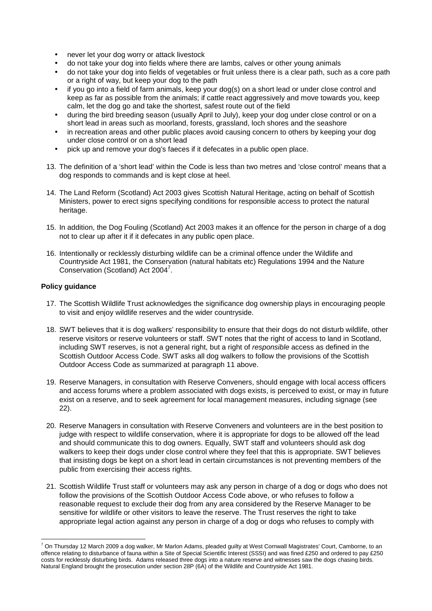- never let your dog worry or attack livestock
- do not take your dog into fields where there are lambs, calves or other young animals
- do not take your dog into fields of vegetables or fruit unless there is a clear path, such as a core path or a right of way, but keep your dog to the path
- if you go into a field of farm animals, keep your dog(s) on a short lead or under close control and keep as far as possible from the animals; if cattle react aggressively and move towards you, keep calm, let the dog go and take the shortest, safest route out of the field
- during the bird breeding season (usually April to July), keep your dog under close control or on a short lead in areas such as moorland, forests, grassland, loch shores and the seashore
- in recreation areas and other public places avoid causing concern to others by keeping your dog under close control or on a short lead
- pick up and remove your dog's faeces if it defecates in a public open place.
- 13. The definition of a 'short lead' within the Code is less than two metres and 'close control' means that a dog responds to commands and is kept close at heel.
- 14. The Land Reform (Scotland) Act 2003 gives Scottish Natural Heritage, acting on behalf of Scottish Ministers, power to erect signs specifying conditions for responsible access to protect the natural heritage.
- 15. In addition, the Dog Fouling (Scotland) Act 2003 makes it an offence for the person in charge of a dog not to clear up after it if it defecates in any public open place.
- 16. Intentionally or recklessly disturbing wildlife can be a criminal offence under the Wildlife and Countryside Act 1981, the Conservation (natural habitats etc) Regulations 1994 and the Nature Conservation (Scotland) Act 2004<sup>7</sup>.

## **Policy guidance**

- 17. The Scottish Wildlife Trust acknowledges the significance dog ownership plays in encouraging people to visit and enjoy wildlife reserves and the wider countryside.
- 18. SWT believes that it is dog walkers' responsibility to ensure that their dogs do not disturb wildlife, other reserve visitors or reserve volunteers or staff. SWT notes that the right of access to land in Scotland, including SWT reserves, is not a general right, but a right of responsible access as defined in the Scottish Outdoor Access Code. SWT asks all dog walkers to follow the provisions of the Scottish Outdoor Access Code as summarized at paragraph 11 above.
- 19. Reserve Managers, in consultation with Reserve Conveners, should engage with local access officers and access forums where a problem associated with dogs exists, is perceived to exist, or may in future exist on a reserve, and to seek agreement for local management measures, including signage (see 22).
- 20. Reserve Managers in consultation with Reserve Conveners and volunteers are in the best position to judge with respect to wildlife conservation, where it is appropriate for dogs to be allowed off the lead and should communicate this to dog owners. Equally, SWT staff and volunteers should ask dog walkers to keep their dogs under close control where they feel that this is appropriate. SWT believes that insisting dogs be kept on a short lead in certain circumstances is not preventing members of the public from exercising their access rights.
- 21. Scottish Wildlife Trust staff or volunteers may ask any person in charge of a dog or dogs who does not follow the provisions of the Scottish Outdoor Access Code above, or who refuses to follow a reasonable request to exclude their dog from any area considered by the Reserve Manager to be sensitive for wildlife or other visitors to leave the reserve. The Trust reserves the right to take appropriate legal action against any person in charge of a dog or dogs who refuses to comply with

 $\overline{a}$  $^7$  On Thursday 12 March 2009 a dog walker, Mr Marlon Adams, pleaded guilty at West Cornwall Magistrates' Court, Camborne, to an offence relating to disturbance of fauna within a Site of Special Scientific Interest (SSSI) and was fined £250 and ordered to pay £250 costs for recklessly disturbing birds. Adams released three dogs into a nature reserve and witnesses saw the dogs chasing birds. Natural England brought the prosecution under section 28P (6A) of the Wildlife and Countryside Act 1981.